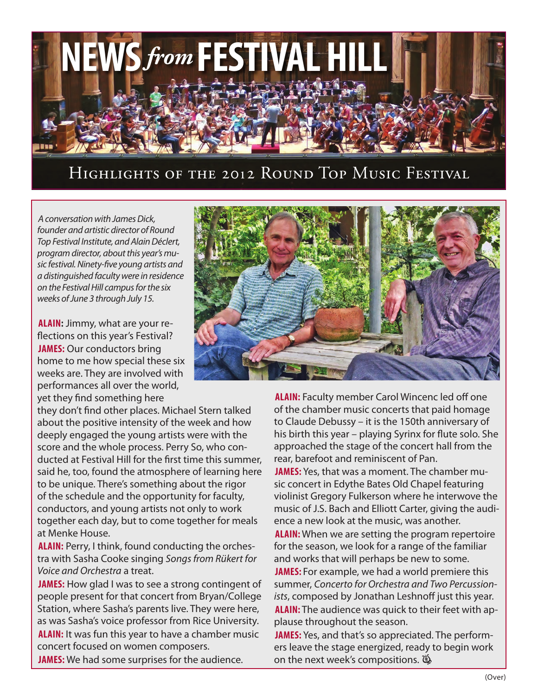

### Highlights of the 2012 Round Top Music Festival

*A conversation with James Dick, founder and artistic director of Round Top Festival Institute, and Alain Déclert, program director, about this year's music festival. Ninety-five young artists and a distinguished faculty were in residence on the Festival Hill campus for the six weeks of June 3 through July 15.*

**Alain:** Jimmy, what are your reflections on this year's Festival? **James:** Our conductors bring home to me how special these six weeks are. They are involved with performances all over the world, yet they find something here

they don't find other places. Michael Stern talked about the positive intensity of the week and how deeply engaged the young artists were with the score and the whole process. Perry So, who conducted at Festival Hill for the first time this summer, said he, too, found the atmosphere of learning here to be unique. There's something about the rigor of the schedule and the opportunity for faculty, conductors, and young artists not only to work together each day, but to come together for meals at Menke House.

**Alain:** Perry, I think, found conducting the orchestra with Sasha Cooke singing *Songs from Rükert for Voice and Orchestra* a treat.

**James:** How glad I was to see a strong contingent of people present for that concert from Bryan/College Station, where Sasha's parents live. They were here, as was Sasha's voice professor from Rice University. **ALAIN:** It was fun this year to have a chamber music concert focused on women composers.

**James:** We had some surprises for the audience.



**Alain:** Faculty member Carol Wincenc led off one of the chamber music concerts that paid homage to Claude Debussy – it is the 150th anniversary of his birth this year – playing Syrinx for flute solo. She approached the stage of the concert hall from the rear, barefoot and reminiscent of Pan.

**James:** Yes, that was a moment. The chamber music concert in Edythe Bates Old Chapel featuring violinist Gregory Fulkerson where he interwove the music of J.S. Bach and Elliott Carter, giving the audience a new look at the music, was another.

**Alain:** When we are setting the program repertoire for the season, we look for a range of the familiar and works that will perhaps be new to some.

**JAMES:** For example, we had a world premiere this summer, *Concerto for Orchestra and Two Percussionists*, composed by Jonathan Leshnoff just this year. **Alain:** The audience was quick to their feet with applause throughout the season.

**James:** Yes, and that's so appreciated. The performers leave the stage energized, ready to begin work on the next week's compositions.